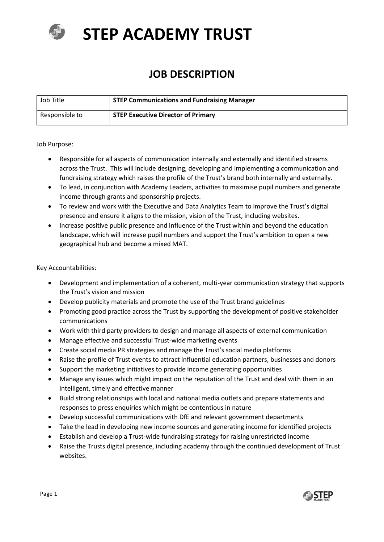

# **STEP ACADEMY TRUST**

# **JOB DESCRIPTION**

| Job Title      | <b>STEP Communications and Fundraising Manager</b> |
|----------------|----------------------------------------------------|
| Responsible to | <b>STEP Executive Director of Primary</b>          |

#### Job Purpose:

- Responsible for all aspects of communication internally and externally and identified streams across the Trust. This will include designing, developing and implementing a communication and fundraising strategy which raises the profile of the Trust's brand both internally and externally.
- To lead, in conjunction with Academy Leaders, activities to maximise pupil numbers and generate income through grants and sponsorship projects.
- To review and work with the Executive and Data Analytics Team to improve the Trust's digital presence and ensure it aligns to the mission, vision of the Trust, including websites.
- Increase positive public presence and influence of the Trust within and beyond the education landscape, which will increase pupil numbers and support the Trust's ambition to open a new geographical hub and become a mixed MAT.

#### Key Accountabilities:

- Development and implementation of a coherent, multi-year communication strategy that supports the Trust's vision and mission
- Develop publicity materials and promote the use of the Trust brand guidelines
- Promoting good practice across the Trust by supporting the development of positive stakeholder communications
- Work with third party providers to design and manage all aspects of external communication
- Manage effective and successful Trust-wide marketing events
- Create social media PR strategies and manage the Trust's social media platforms
- Raise the profile of Trust events to attract influential education partners, businesses and donors
- Support the marketing initiatives to provide income generating opportunities
- Manage any issues which might impact on the reputation of the Trust and deal with them in an intelligent, timely and effective manner
- Build strong relationships with local and national media outlets and prepare statements and responses to press enquiries which might be contentious in nature
- Develop successful communications with DfE and relevant government departments
- Take the lead in developing new income sources and generating income for identified projects
- Establish and develop a Trust-wide fundraising strategy for raising unrestricted income
- Raise the Trusts digital presence, including academy through the continued development of Trust websites.

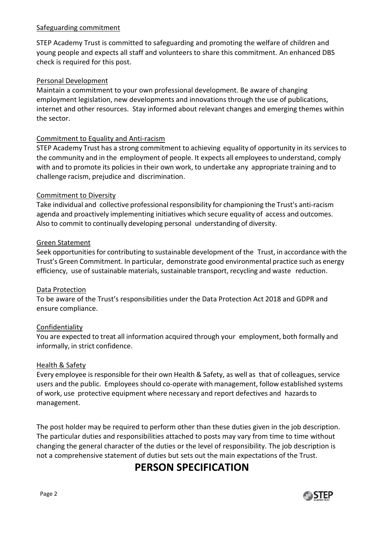#### Safeguarding commitment

STEP Academy Trust is committed to safeguarding and promoting the welfare of children and young people and expects all staff and volunteers to share this commitment. An enhanced DBS check is required for this post.

#### Personal Development

Maintain a commitment to your own professional development. Be aware of changing employment legislation, new developments and innovations through the use of publications, internet and other resources. Stay informed about relevant changes and emerging themes within the sector.

#### Commitment to Equality and Anti-racism

STEP Academy Trust has a strong commitment to achieving equality of opportunity in its services to the community and in the employment of people. It expects all employees to understand, comply with and to promote its policies in their own work, to undertake any appropriate training and to challenge racism, prejudice and discrimination.

#### Commitment to Diversity

Take individual and collective professional responsibility for championing the Trust's anti-racism agenda and proactively implementing initiatives which secure equality of access and outcomes. Also to commit to continually developing personal understanding of diversity.

#### Green Statement

Seek opportunities for contributing to sustainable development of the Trust, in accordance with the Trust's Green Commitment. In particular, demonstrate good environmental practice such as energy efficiency, use of sustainable materials, sustainable transport, recycling and waste reduction.

#### Data Protection

To be aware of the Trust's responsibilities under the Data Protection Act 2018 and GDPR and ensure compliance.

### Confidentiality

You are expected to treat all information acquired through your employment, both formally and informally, in strict confidence.

#### Health & Safety

Every employee is responsible for their own Health & Safety, as well as that of colleagues, service users and the public. Employees should co-operate with management, follow established systems of work, use protective equipment where necessary and report defectives and hazardsto management.

The post holder may be required to perform other than these duties given in the job description. The particular duties and responsibilities attached to posts may vary from time to time without changing the general character of the duties or the level of responsibility. The job description is not a comprehensive statement of duties but sets out the main expectations of the Trust.

## **PERSON SPECIFICATION**